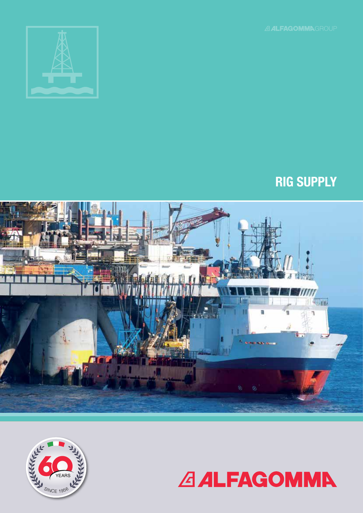





# RIG SUPPLY

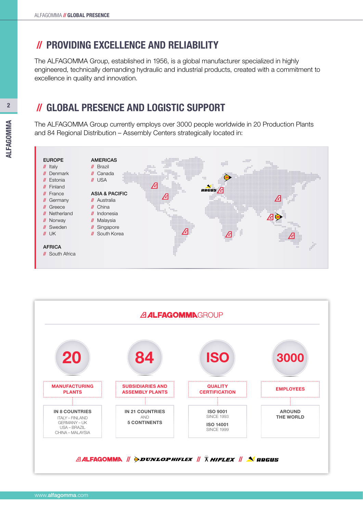# //PROVIDING EXCELLENCE AND RELIABILITY

The ALFAGOMMA Group, established in 1956, is a global manufacturer specialized in highly engineered, technically demanding hydraulic and industrial products, created with a commitment to excellence in quality and innovation.

# //GLOBAL PRESENCE AND LOGISTIC SUPPORT

The ALFAGOMMA Group currently employs over 3000 people worldwide in 20 Production Plants and 84 Regional Distribution – Assembly Centers strategically located in:



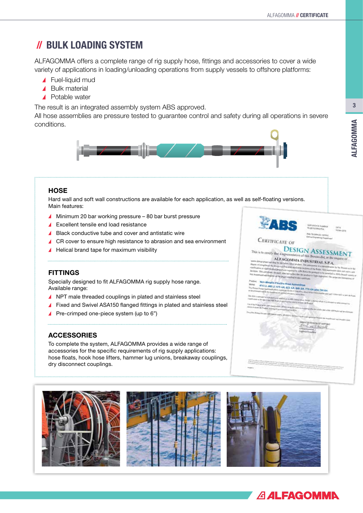# //BULK LOADING SYSTEM

ALFAGOMMA offers a complete range of rig supply hose, fittings and accessories to cover a wide variety of applications in loading/unloading operations from supply vessels to offshore platforms:

- ▲ Fuel-liquid mud
- ▲ Bulk material
- ▲ Potable water

The result is an integrated assembly system ABS approved.

All hose assemblies are pressure tested to guarantee control and safety during all operations in severe conditions.



#### **HOSE**

571946, dated 16-NOV-2016. Hard wall and soft wall constructions are available for each application, as well as self-floating versions. Main features:

- ▲ Minimum 20 bar working pressure 80 bar burst pressure
- Excellent tensile end load resistance
- ▲ Black conductive tube and cover and antistatic wire
- ▲ CR cover to ensure high resistance to abrasion and sea environment
- Helical brand tape for maximum visibility

#### **FITTINGS**

Specially designed to fit ALFAGOMMA rig supply hose range. Available range:

- ▲ NPT male threaded couplings in plated and stainless steel
- ▲ Fixed and Swivel ASA150 flanged fittings in plated and stainless steel
- Pre-crimped one-piece system (up to 6")

#### ACCESSORIES

To complete the system, ALFAGOMMA provides a wide range of accessories for the specific requirements of rig supply applications: hose floats, hook hose lifters, hammer lug unions, breakaway couplings, dry disconnect couplings.





## **CERTIFICATE OF DESIGN ASSESSMEN**

ALFAGOMMA INDUSTRIAL S.P.A

# **415 Lt. 445 Lt. 015 AA. 622**

AA BEAA 715AA





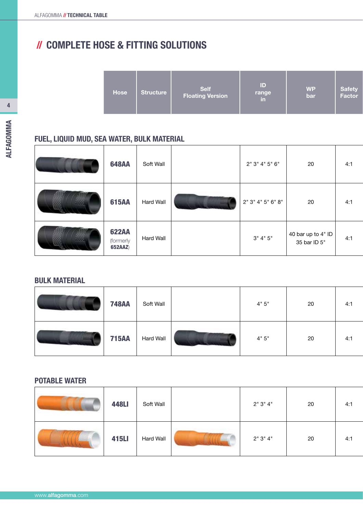# //COMPLETE HOSE & FITTING SOLUTIONS

|  | <b>Hose</b> | Structure, | <b>Self</b><br><b>Floating Version</b> | ID<br>range<br>lin | <b>WP</b><br>bar | Safety<br>  Factor |
|--|-------------|------------|----------------------------------------|--------------------|------------------|--------------------|
|--|-------------|------------|----------------------------------------|--------------------|------------------|--------------------|

# FUEL, LIQUID MUD, SEA WATER, BULK MATERIAL

| <b>648AA</b>                                | Soft Wall | 2" 3" 4" 5" 6"    | 20                                 | 4:1 |
|---------------------------------------------|-----------|-------------------|------------------------------------|-----|
| <b>615AA</b>                                | Hard Wall | 2" 3" 4" 5" 6" 8" | 20                                 | 4:1 |
| <b>622AA</b><br>(formerly<br><b>652AAZ)</b> | Hard Wall | 3" 4" 5"          | 40 bar up to 4" ID<br>35 bar ID 5" | 4:1 |

# BULK MATERIAL

| <b>748AA</b> | Soft Wall        | 4"5" | 20 | 4:1 |
|--------------|------------------|------|----|-----|
| <b>715AA</b> | <b>Hard Wall</b> | 4"5" | 20 | 4:1 |

## POTABLE WATER

| <b>448LI</b> | Soft Wall | 2"3"4" | 20 | 4:1 |
|--------------|-----------|--------|----|-----|
| <b>415LI</b> | Hard Wall | 2"3"4" | 20 | 4:1 |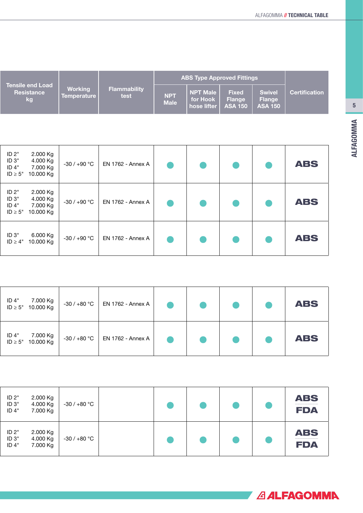|                                                    |                                      |                             |                           | <b>ABS Type Approved Fittings</b>          |                                                 |                                                  |                      |
|----------------------------------------------------|--------------------------------------|-----------------------------|---------------------------|--------------------------------------------|-------------------------------------------------|--------------------------------------------------|----------------------|
| <b>Tensile end Load</b><br><b>Resistance</b><br>kg | <b>Working</b><br><b>Temperature</b> | <b>Flammability</b><br>test | <b>NPT</b><br><b>Male</b> | <b>NPT Male</b><br>for Hook<br>hose lifter | <b>Fixed</b><br><b>Flange</b><br><b>ASA 150</b> | <b>Swivel</b><br><b>Flange</b><br><b>ASA 150</b> | <b>Certification</b> |

| ID 2"<br>$2.000$ Kg<br>ID <sub>3"</sub><br>4.000 Kg<br>ID 4"<br>7.000 Kg<br>$ID \geq 5"$<br>10.000 Kg | $-30/+90 °C$ | <b>EN 1762 - Annex A</b> |  |  | <b>ABS</b> |
|-------------------------------------------------------------------------------------------------------|--------------|--------------------------|--|--|------------|
| ID 2"<br>$2.000$ Kg<br>$ID3$ "<br>4.000 Kg<br>ID 4"<br>7.000 Kg<br>$ID \geq 5"$<br>10.000 Kg          | $-30/+90 °C$ | <b>EN 1762 - Annex A</b> |  |  | <b>ABS</b> |
| $ID3$ "<br>6.000 Kg<br>10.000 Kg<br>$ID \ge 4"$                                                       | $-30/+90 °C$ | <b>EN 1762 - Annex A</b> |  |  | <b>ABS</b> |

| ID 4" 7.000 Kg<br>ID ≥ 5" 10.000 Kg | $-30$ / $+80$ °C $\,$ EN 1762 - Annex A    |  |  | <b>ABS</b> |  |
|-------------------------------------|--------------------------------------------|--|--|------------|--|
|                                     | $-30$ / $+80$ °C $\vert$ EN 1762 - Annex A |  |  | <b>ABS</b> |  |

| $ID2$ "<br>ID <sub>3</sub> "<br>ID 4" | 2.000 Kg<br>4.000 Kg<br>7.000 Kg | -30 / +80 $^{\circ}$ C |  |  | <b>ABS</b><br>-----------------------------<br><b>FDA</b> |
|---------------------------------------|----------------------------------|------------------------|--|--|-----------------------------------------------------------|
| $ID2$ "<br>ID <sub>3</sub><br>ID 4"   | 2.000 Kg<br>4.000 Kg<br>7.000 Kg | $-30/+80 °C$           |  |  | <b>ABS</b><br><b>FDA</b>                                  |

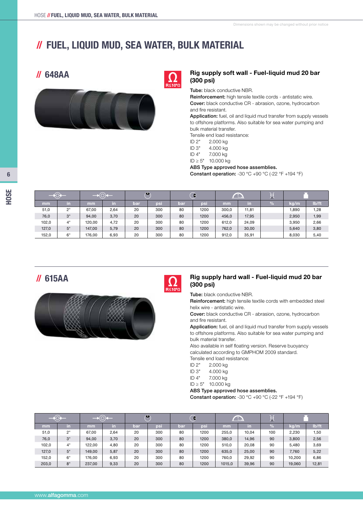# //FUEL, LIQUID MUD, SEA WATER, BULK MATERIAL





#### **// 648AA** Rig supply soft wall - Fuel-liquid mud 20 bar (300 psi)

Tube: black conductive NBR.

Reinforcement: high tensile textile cords - antistatic wire. Cover: black conductive CR - abrasion, ozone, hydrocarbon and fire resistant.

Application: fuel, oil and liquid mud transfer from supply vessels to offshore platforms. Also suitable for sea water pumping and bulk material transfer.

Tensile end load resistance:

ID 2" 2.000 kg

ID 3" 4.000 kg

ID 4" 7.000 kg

ID ≥ 5" 10.000 kg

ABS Type approved hose assemblies.

**Constant operation:** -30  $^{\circ}$ C +90  $^{\circ}$ C (-22  $^{\circ}$ F +194  $^{\circ}$ F)

| $-\circ$ |     | ペール    |      | $\bullet$ |     | 9   | L    |       | ノハ    |   |       |       |
|----------|-----|--------|------|-----------|-----|-----|------|-------|-------|---|-------|-------|
| mm       | in. | mm     | τn   | bar       | psi | bar | psi  | mm    | -in   | % | kg/m  | lb/ft |
| 51,0     | 2"  | 67.00  | 2,64 | 20        | 300 | 80  | 1200 | 300,0 | 11.81 |   | 1.890 | 1,28  |
| 76,0     | 3"  | 94,00  | 3,70 | 20        | 300 | 80  | 1200 | 456.0 | 17,95 |   | 2,950 | 1,99  |
| 102,0    | 4"  | 120.00 | 4,72 | 20        | 300 | 80  | 1200 | 612.0 | 24,09 |   | 3,950 | 2,66  |
| 127,0    | 5"  | 147.00 | 5,79 | 20        | 300 | 80  | 1200 | 762,0 | 30,00 |   | 5,640 | 3,80  |
| 152,0    | 6"  | 176,00 | 6,93 | 20        | 300 | 80  | 1200 | 912,0 | 35,91 |   | 8,030 | 5,40  |



#### //615AA Rig supply hard wall - Fuel-liquid mud 20 bar (300 psi)

Tube: black conductive NBR.

Reinforcement: high tensile textile cords with embedded steel helix wire - antistatic wire.

Cover: black conductive CR - abrasion, ozone, hydrocarbon and fire resistant.

Application: fuel, oil and liquid mud transfer from supply vessels to offshore platforms. Also suitable for sea water pumping and bulk material transfer.

Also available in self floating version. Reserve buoyancy calculated according to GMPHOM 2009 standard.

Tensile end load resistance:<br>ID 2" 2.000 ka

- 2.000 kg
- ID 3" 4.000 kg
- ID 4" 7.000 kg ID ≥ 5" 10.000 kg

ABS Type approved hose assemblies.

**Constant operation:** -30  $^{\circ}$ C +90  $^{\circ}$ C (-22  $^{\circ}$ F +194  $^{\circ}$ F)

|       |    |        |      |     | $\bullet$ |     | €    |        | O     | W    |        |       |
|-------|----|--------|------|-----|-----------|-----|------|--------|-------|------|--------|-------|
| mm    | in | mm     | in   | bar | psi       | bar | psi  | mm     | -in   | $\%$ | kg/m   | lb/ft |
| 51,0  | 2" | 67.00  | 2,64 | 20  | 300       | 80  | 1200 | 255.0  | 10.04 | 100  | 2.230  | 1,50  |
| 76,0  | 3" | 94,00  | 3,70 | 20  | 300       | 80  | 1200 | 380,0  | 14,96 | 90   | 3,800  | 2,56  |
| 102,0 | 4" | 122.00 | 4,80 | 20  | 300       | 80  | 1200 | 510,0  | 20,08 | 90   | 5.480  | 3,69  |
| 127,0 | 5" | 149.00 | 5,87 | 20  | 300       | 80  | 1200 | 635,0  | 25,00 | 90   | 7.760  | 5,22  |
| 152,0 | 6" | 176.00 | 6,93 | 20  | 300       | 80  | 1200 | 760,0  | 29,92 | 90   | 10,200 | 6,86  |
| 203,0 | 8" | 237,00 | 9,33 | 20  | 300       | 80  | 1200 | 1015,0 | 39,96 | 90   | 19,060 | 12,81 |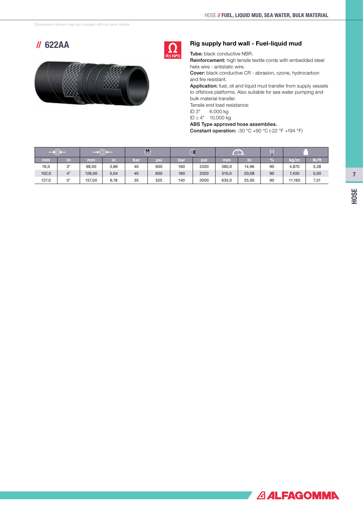# //622AA



# $2< 10$

#### Rig supply hard wall - Fuel-liquid mud

Tube: black conductive NBR.

Reinforcement: high tensile textile cords with embedded steel helix wire - antistatic wire.

Cover: black conductive CR - abrasion, ozone, hydrocarbon and fire resistant.

Application: fuel, oil and liquid mud transfer from supply vessels to offshore platforms. Also suitable for sea water pumping and bulk material transfer.

Tensile end load resistance:

ID 3" 6.000 kg

ID ≥ 4" 10.000 kg

ABS Type approved hose assemblies.

Constant operation: -30 °C +90 °C (-22 °F +194 °F)

|       |    |        |      | $\bullet$  |     | ♦   |      | $\blacksquare$ |       | ノハ |        |       |
|-------|----|--------|------|------------|-----|-----|------|----------------|-------|----|--------|-------|
| mm    | m  | mm     | in.  | <b>bar</b> | psi | bar | psi  | mm             | in    | %  | kg/m   | lb/ft |
| 76,0  | 3" | 98.00  | 3,86 | 40         | 600 | 160 | 2320 | 380,0          | 14,96 | 90 | 4,870  | 3,28  |
| 102,0 | 4" | 128,00 | 5,04 | 40         | 600 | 160 | 2320 | 510,0          | 20,08 | 90 | 7,430  | 5,00  |
| 127,0 | 5" | 157.00 | 6,18 | 35         | 525 | 140 | 2000 | 635,0          | 25,00 | 90 | 11.160 | 7,51  |

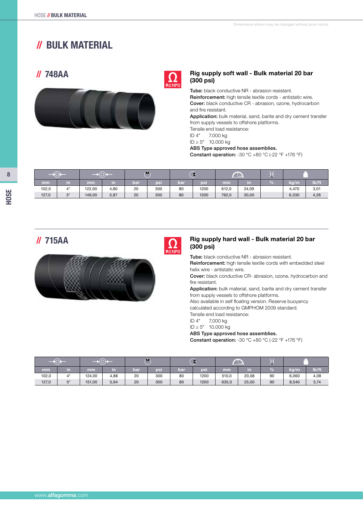# //BULK MATERIAL

# //748AA





#### Rig supply soft wall - Bulk material 20 bar (300 psi)

Tube: black conductive NR - abrasion resistant. Reinforcement: high tensile textile cords - antistatic wire. Cover: black conductive CR - abrasion, ozone, hydrocarbon and fire resistant.

Application: bulk material, sand, barite and dry cement transfer from supply vessels to offshore platforms.

Tensile end load resistance:

ID 4" 7.000 kg

ID ≥ 5" 10.000 kg

#### ABS Type approved hose assemblies.

Constant operation: -30 °C +80 °C (-22 °F +176 °F)

|       |    |        |      | $\bigwedge$ |     | ⌒<br>÷ |      |       | $\blacksquare$ | . .<br>45 |       |       |
|-------|----|--------|------|-------------|-----|--------|------|-------|----------------|-----------|-------|-------|
| mm'   | m  | mm     | in   | <b>bar</b>  | psi | ban    | psi  | mm    | m              |           | kg/m  | lb/ft |
| 102,0 | 4" | 122,00 | 4,80 | 20          | 300 | 80     | 1200 | 612,0 | 24,09          |           | 4,470 | 3,01  |
| 127,0 | г" | 149,00 | 5,87 | 20          | 300 | 80     | 1200 | 762,0 | 30,00          |           | 6,330 | 4,26  |



## $\int$  715AA Rig supply hard wall - Bulk material 20 bar (300 psi) (300 psi)

Tube: black conductive NR - abrasion resistant. Reinforcement: high tensile textile cords with embedded steel helix wire - antistatic wire. Cover: black conductive CR- abrasion, ozone, hydrocarbon and

fire resistant. Application: bulk material, sand, barite and dry cement transfer from supply vessels to offshore platforms.

Also available in self floating version. Reserve buoyancy calculated according to GMPHOM 2009 standard. Tensile end load resistance:

ID 4" 7.000 kg

ID ≥ 5" 10.000 kg

ABS Type approved hose assemblies.

Constant operation: -30 °C +80 °C (-22 °F +176 °F)

|       |    |        |      | $\bullet$ |     | Q          |      | $\sim$<br>L. |       | V.            |       |       |
|-------|----|--------|------|-----------|-----|------------|------|--------------|-------|---------------|-------|-------|
| mm    | m  | mm     | in   | bar       | psi | <b>bar</b> | psi  | mm           | m     | $\frac{9}{6}$ | ka/m  | lb/ft |
| 102,0 | 4" | 124,00 | 4,88 | 20        | 300 | 80         | 1200 | 510,0        | 20,08 | 90            | 6,060 | 4,08  |
| 127,0 | 5" | 151,00 | 5,94 | 20        | 300 | 80         | 1200 | 635,0        | 25,00 | 90            | 8,540 | 5,74  |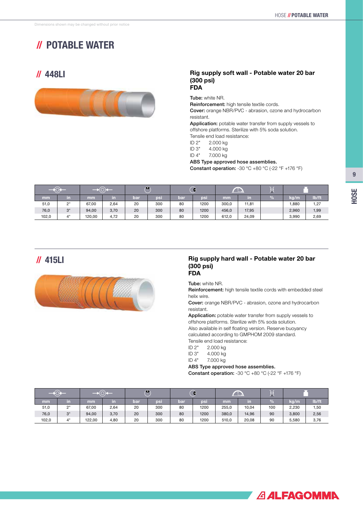# //POTABLE WATER

# //448LI



#### Rig supply soft wall - Potable water 20 bar (300 psi) FDA

Tube: white NR. Reinforcement: high tensile textile cords. Cover: orange NBR/PVC - abrasion, ozone and hydrocarbon resistant.

Application: potable water transfer from supply vessels to offshore platforms. Sterilize with 5% soda solution. Tensile end load resistance:

ID 2" 2.000 kg

ID 3" 4.000 kg

ID 4" 7.000 kg

ABS Type approved hose assemblies.

Constant operation: -30  $^{\circ}$ C +80  $^{\circ}$ C (-22  $^{\circ}$ F +176  $^{\circ}$ F)

|       |    |        |      | $\bigwedge$ |     | ÷   |      | $\Box$ |       | 45            |       |       |
|-------|----|--------|------|-------------|-----|-----|------|--------|-------|---------------|-------|-------|
| mm    | in | mm     | in   | bar         | psi | bar | psi  | mm     | in    | $\frac{9}{6}$ | kg/m  | lb/ft |
| 51,0  | 2" | 67.00  | 2,64 | 20          | 300 | 80  | 1200 | 300,0  | 11,81 |               | 1,880 | 1,27  |
| 76,0  | 3" | 94,00  | 3,70 | 20          | 300 | 80  | 1200 | 456,0  | 17,95 |               | 2,960 | 1,99  |
| 102,0 | 4" | 120.00 | 4.72 | 20          | 300 | 80  | 1200 | 612.0  | 24,09 |               | 3.990 | 2,69  |

## //415LI



#### Rig supply hard wall - Potable water 20 bar (300 psi) FDA

Tube: white NR.

Reinforcement: high tensile textile cords with embedded steel helix wire.

Cover: orange NBR/PVC - abrasion, ozone and hydrocarbon resistant.

Application: potable water transfer from supply vessels to offshore platforms. Sterilize with 5% soda solution.

Also available in self floating version. Reserve buoyancy calculated according to GMPHOM 2009 standard.

Tensile end load resistance:

ID 2" 2.000 kg

- ID 3" 4.000 kg
- ID 4" 7.000 kg

ABS Type approved hose assemblies.

**Constant operation:** -30  $^{\circ}$ C +80  $^{\circ}$ C (-22  $^{\circ}$ F +176  $^{\circ}$ F)

|       |    |        |      |     | ◆   |     | Q    |       | —     |               |       |       |  |
|-------|----|--------|------|-----|-----|-----|------|-------|-------|---------------|-------|-------|--|
| mm    | in | mm     | in   | bar | psi | bar | bsi  | mm    | in    | $\frac{1}{2}$ | kg/m  | lb/ft |  |
| 51,0  | 2" | 67,00  | 2,64 | 20  | 300 | 80  | 1200 | 255,0 | 10,04 | 100           | 2,230 | 1,50  |  |
| 76,0  | 3" | 94,00  | 3,70 | 20  | 300 | 80  | 1200 | 380,0 | 14,96 | 90            | 3,800 | 2,56  |  |
| 102,0 | 4" | 122,00 | 4,80 | 20  | 300 | 80  | 1200 | 510,0 | 20,08 | 90            | 5,580 | 3,76  |  |



9 HOSE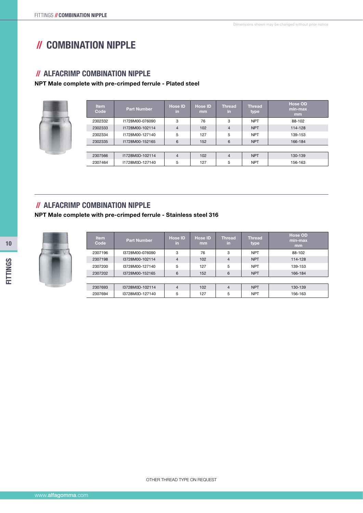# //COMBINATION NIPPLE

### //ALFACRIMP COMBINATION NIPPLE

#### NPT Male complete with pre-crimped ferrule - Plated steel

| <b>Item</b><br>Code | <b>Part Number</b> | <b>Hose ID</b><br>in. | <b>Hose ID</b><br><sub>mm</sub> | <b>Thread</b><br>in. | <b>Thread</b><br>type | <b>Hose OD</b><br>min-max<br>mm |
|---------------------|--------------------|-----------------------|---------------------------------|----------------------|-----------------------|---------------------------------|
| 2302332             | I1728M00-076090    | 3                     | 76                              | 3                    | <b>NPT</b>            | 88-102                          |
| 2302333             | I1728M00-102114    | $\overline{4}$        | 102                             | $\overline{4}$       | <b>NPT</b>            | 114-128                         |
| 2302334             | I1728M00-127140    | 5                     | 127                             | 5                    | <b>NPT</b>            | 139-153                         |
| 2302335             | I1728M00-152165    | 6                     | 152                             | 6                    | <b>NPT</b>            | 166-184                         |
|                     |                    |                       |                                 |                      |                       |                                 |
| 2307566             | I1728M0D-102114    | 4                     | 102                             | 4                    | <b>NPT</b>            | 130-139                         |
| 2307464             | I1728M0D-127140    | 5                     | 127                             | 5                    | <b>NPT</b>            | 156-163                         |

## //ALFACRIMP COMBINATION NIPPLE

#### NPT Male complete with pre-crimped ferrule - Stainless steel 316

| <b>Item</b><br>Code | <b>Part Number</b> | <b>Hose ID</b><br>in | <b>Hose ID</b><br>mm | <b>Thread</b><br>in. | <b>Thread</b><br>type | <b>Hose OD</b><br>min-max<br>mm |
|---------------------|--------------------|----------------------|----------------------|----------------------|-----------------------|---------------------------------|
| 2307196             | I3728M00-076090    | 3                    | 76                   | 3                    | <b>NPT</b>            | 88-102                          |
| 2307198             | I3728M00-102114    | $\overline{4}$       | 102                  | $\overline{4}$       | <b>NPT</b>            | 114-128                         |
| 2307200             | I3728M00-127140    | 5                    | 127                  | 5                    | <b>NPT</b>            | 139-153                         |
| 2307202             | I3728M00-152165    | 6                    | 152                  | 6                    | <b>NPT</b>            | 166-184                         |
|                     |                    |                      |                      |                      |                       |                                 |
| 2307693             | I3728M0D-102114    | $\overline{4}$       | 102                  | $\overline{4}$       | <b>NPT</b>            | 130-139                         |
| 2307694             | I3728M0D-127140    | 5                    | 127                  | 5                    | <b>NPT</b>            | 156-163                         |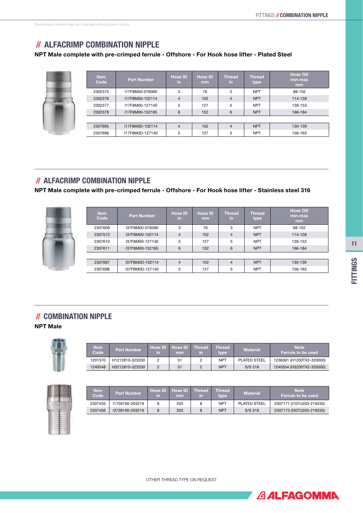**ALEAGOMMA** 

# //ALFACRIMP COMBINATION NIPPLE

#### NPT Male complete with pre-crimped ferrule - Offshore - For Hook hose lifter - Plated Steel

| <b>Item</b><br>Code | <b>Part Number</b> | <b>Hose ID</b><br>-in | <b>Hose ID</b><br><sub>mm</sub> | <b>Thread</b><br>-in | <b>Thread</b><br>type | <b>Hose OD</b><br>min-max<br>mm |
|---------------------|--------------------|-----------------------|---------------------------------|----------------------|-----------------------|---------------------------------|
| 2302375             | I17F8M00-076090    | 3                     | 76                              | 3                    | <b>NPT</b>            | 88-102                          |
| 2302376             | I17F8M00-102114    | $\overline{4}$        | 102                             | $\overline{4}$       | <b>NPT</b>            | 114-128                         |
| 2302377             | I17F8M00-127140    | 5                     | 127                             | 5                    | <b>NPT</b>            | 139-153                         |
| 2302378             | I17F8M00-152165    | 6                     | 152                             | 6                    | <b>NPT</b>            | 166-184                         |
|                     |                    |                       |                                 |                      |                       |                                 |
| 2307695             | I17F8M0D-102114    | $\overline{4}$        | 102                             | 4                    | <b>NPT</b>            | 130-139                         |
| 2307696             | I17F8M0D-127140    | 5                     | 127                             | 5                    | <b>NPT</b>            | 156-163                         |

## //ALFACRIMP COMBINATION NIPPLE

NPT Male complete with pre-crimped ferrule - Offshore - For Hook hose lifter - Stainless steel 316

| <b>Item</b><br>Code | <b>Part Number</b> | <b>Hose ID</b><br>in. | <b>Hose ID</b><br><sub>mm</sub> | <b>Thread</b><br>lin. | <b>Thread</b><br>type | <b>Hose OD</b><br>min-max<br>mm |
|---------------------|--------------------|-----------------------|---------------------------------|-----------------------|-----------------------|---------------------------------|
| 2307609             | I37F8M00-076090    | 3                     | 76                              | 3                     | <b>NPT</b>            | 88-102                          |
| 2307573             | I37F8M00-102114    | $\overline{4}$        | 102                             | $\overline{4}$        | <b>NPT</b>            | 114-128                         |
| 2307610             | I37F8M00-127140    | 5                     | 127                             | 5                     | <b>NPT</b>            | 139-153                         |
| 2307611             | I37F8M00-152165    | 6                     | 152                             | 6                     | <b>NPT</b>            | 166-184                         |
|                     |                    |                       |                                 |                       |                       |                                 |
| 2307697             | I37F8M0D-102114    | $\overline{4}$        | 102                             | 4                     | <b>NPT</b>            | 130-139                         |
| 2307698             | I37F8M0D-127140    | 5                     | 127                             | 5                     | <b>NPT</b>            | 156-163                         |

## //COMBINATION NIPPLE

NPT Male



| <b>Item</b><br>Code | <b>Part Number</b> | in | Hose ID Hose ID Thread<br>mm | m | <b>Thread</b><br>type | <b>Material</b>     | <b>Note</b><br>Ferrule to be used |
|---------------------|--------------------|----|------------------------------|---|-----------------------|---------------------|-----------------------------------|
| 1201370             | H1212810-323200    |    | 51                           |   | <b>NPT</b>            | <b>PLATED STEEL</b> | 1236591 (H1200TX2-320000)         |
| 1240548             | H3212810-323200    |    | 51                           |   | <b>NPT</b>            | S/S 316             | 1240554 (H3200TX2-320000)         |



| <b>Item</b><br>Code | <b>Part Number</b> | in | Hose <b>ID</b> Hose <b>ID</b><br>mm | <b>Thread</b><br>in | <b>Thread</b><br>type. | <b>Material</b>     | <b>Note</b><br>Ferrule to be used |
|---------------------|--------------------|----|-------------------------------------|---------------------|------------------------|---------------------|-----------------------------------|
| 2307455             | 11728100-203219    | 8  | 203                                 |                     | <b>NPT</b>             | <b>PLATED STEEL</b> | 2307171 (I107U203-219235)         |
| 2307456             | 13728100-203219    | 8  | 203                                 |                     | <b>NPT</b>             | S/S 316             | 2307173 (I307U203-219235)         |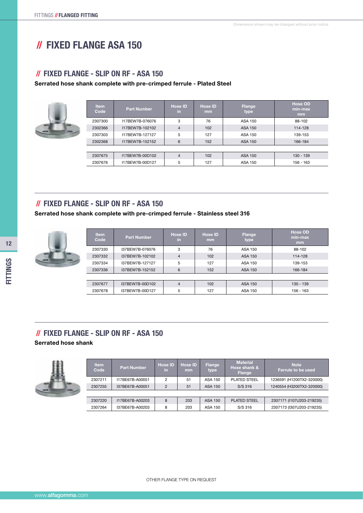# //FIXED FLANGE ASA 150

## //FIXED FLANGE - SLIP ON RF - ASA 150

#### Serrated hose shank complete with pre-crimped ferrule - Plated Steel

| <b>Item</b><br>Code | <b>Part Number</b> | <b>Hose ID</b><br>in. | <b>Hose ID</b><br>mm | Flange<br>type | <b>Hose OD</b><br>min-max<br>mm |
|---------------------|--------------------|-----------------------|----------------------|----------------|---------------------------------|
| 2307300             | I17BEW7B-076076    | 3                     | 76                   | <b>ASA 150</b> | 88-102                          |
| 2302366             | I17BEW7B-102102    | $\overline{4}$        | 102                  | <b>ASA 150</b> | 114-128                         |
| 2307303             | I17BEW7B-127127    | 5                     | 127                  | <b>ASA 150</b> | 139-153                         |
| 2302368             | I17BEW7B-152152    | 6                     | 152                  | ASA 150        | 166-184                         |
|                     |                    |                       |                      |                |                                 |
| 2307675             | 117BEW7B-00D102    | 4                     | 102                  | <b>ASA 150</b> | $130 - 139$                     |
| 2307676             | 117BEW7B-00D127    | 5                     | 127                  | <b>ASA 150</b> | 156 - 163                       |

## //FIXED FLANGE - SLIP ON RF - ASA 150

#### Serrated hose shank complete with pre-crimped ferrule - Stainless steel 316

| <b>Item</b><br>Code | <b>Part Number</b> | <b>Hose ID</b><br>in | <b>Hose ID</b><br>mm | <b>Flange</b><br>type | <b>Hose OD</b><br>min-max<br>mm |
|---------------------|--------------------|----------------------|----------------------|-----------------------|---------------------------------|
| 2307330             | I37BEW7B-076076    | 3                    | 76                   | ASA 150               | 88-102                          |
| 2307332             | I37BEW7B-102102    | $\overline{4}$       | 102                  | ASA 150               | 114-128                         |
| 2307334             | I37BEW7B-127127    | 5                    | 127                  | ASA 150               | 139-153                         |
| 2307336             | I37BEW7B-152152    | 6                    | 152                  | ASA 150               | 166-184                         |
|                     |                    |                      |                      |                       |                                 |
| 2307677             | I37BEW7B-00D102    | $\overline{4}$       | 102                  | ASA 150               | $130 - 139$                     |
| 2307678             | I37BEW7B-00D127    | 5                    | 127                  | ASA 150               | 156 - 163                       |

## //FIXED FLANGE - SLIP ON RF - ASA 150 Serrated hose shank



| <b>Item</b><br>Code | <b>Part Number</b> | <b>Hose ID</b><br>in | <b>Hose ID</b><br>mm | <b>Flange</b><br>type | <b>Material</b><br>Hose shank &<br><b>Flange</b> | <b>Note</b><br>Ferrule to be used |
|---------------------|--------------------|----------------------|----------------------|-----------------------|--------------------------------------------------|-----------------------------------|
| 2307211             | I17BE67B-A00051    | 2                    | 51                   | ASA 150               | <b>PLATED STEEL</b>                              | 1236591 (H1200TX2-320000)         |
| 2307255             | I37BE67B-A00051    | $\mathfrak{p}$       | 51                   | ASA 150               | $S/S$ 316                                        | 1240554 (H3200TX2-320000)         |
|                     |                    |                      |                      |                       |                                                  |                                   |
| 2307220             | I17BE67B-A00203    | 8                    | 203                  | ASA 150               | <b>PLATED STEEL</b>                              | 2307171 (I107U203-219235)         |
| 2307264             | I37BE67B-A00203    | 8                    | 203                  | ASA 150               | S/S 316                                          | 2307173 (I307U203-219235)         |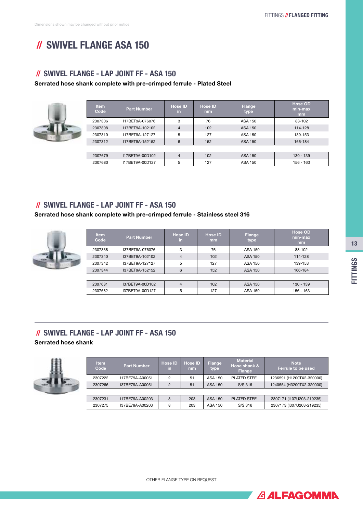**ALFAGOMMA** 

# //SWIVEL FLANGE ASA 150

### //SWIVEL FLANGE - LAP JOINT FF - ASA 150

Serrated hose shank complete with pre-crimped ferrule - Plated Steel

|  | <b>Item</b><br>Code | <b>Part Number</b> | <b>Hose ID</b><br>-in | <b>Hose ID</b><br>mm | Flange<br>type | <b>Hose OD</b><br>min-max<br>mm |
|--|---------------------|--------------------|-----------------------|----------------------|----------------|---------------------------------|
|  | 2307306             | 117BET9A-076076    | 3                     | 76                   | ASA 150        | 88-102                          |
|  | 2307308             | 117BET9A-102102    | $\overline{4}$        | 102                  | <b>ASA 150</b> | 114-128                         |
|  | 2307310             | I17BET9A-127127    | 5                     | 127                  | ASA 150        | 139-153                         |
|  | 2307312             | I17BET9A-152152    | 6                     | 152                  | <b>ASA 150</b> | 166-184                         |
|  |                     |                    |                       |                      |                |                                 |
|  | 2307679             | 117BET9A-00D102    | 4                     | 102                  | <b>ASA 150</b> | 130 - 139                       |
|  | 2307680             | 117BET9A-00D127    | 5                     | 127                  | ASA 150        | 156 - 163                       |

## //SWIVEL FLANGE - LAP JOINT FF - ASA 150

#### Serrated hose shank complete with pre-crimped ferrule - Stainless steel 316

| <b>Item</b><br>Code | <b>Part Number</b> | <b>Hose ID</b><br>in. | <b>Hose ID</b><br>mm | Flange<br>type | <b>Hose OD</b><br>min-max<br>mm |
|---------------------|--------------------|-----------------------|----------------------|----------------|---------------------------------|
| 2307338             | I37BET9A-076076    | 3                     | 76                   | ASA 150        | 88-102                          |
| 2307340             | I37BET9A-102102    | $\overline{4}$        | 102                  | ASA 150        | 114-128                         |
| 2307342             | I37BET9A-127127    | 5                     | 127                  | ASA 150        | 139-153                         |
| 2307344             | I37BET9A-152152    | 6                     | 152                  | <b>ASA 150</b> | 166-184                         |
|                     |                    |                       |                      |                |                                 |
| 2307681             | I37BET9A-00D102    | 4                     | 102                  | ASA 150        | $130 - 139$                     |
| 2307682             | I37BET9A-00D127    | 5                     | 127                  | <b>ASA 150</b> | 156 - 163                       |

## //SWIVEL FLANGE - LAP JOINT FF - ASA 150 Serrated hose shank



| <b>Item</b><br>Code | <b>Part Number</b> | <b>Hose ID</b><br>in. | <b>Hose ID</b><br>mm | <b>Flange</b><br>type | <b>Material</b><br>Hose shank &<br>Flange | <b>Note</b><br>Ferrule to be used |
|---------------------|--------------------|-----------------------|----------------------|-----------------------|-------------------------------------------|-----------------------------------|
| 2307222             | 117BE79A-A00051    | 2                     | 51                   | ASA 150               | <b>PLATED STEEL</b>                       | 1236591 (H1200TX2-320000)         |
| 2307266             | I37BE79A-A00051    | $\overline{2}$        | 51                   | <b>ASA 150</b>        | $S/S$ 316                                 | 1240554 (H3200TX2-320000)         |
|                     |                    |                       |                      |                       |                                           |                                   |
| 2307231             | 117BE79A-A00203    | 8                     | 203                  | ASA 150               | <b>PLATED STEEL</b>                       | 2307171 (I107U203-219235)         |
| 2307275             | I37BE79A-A00203    | 8                     | 203                  | ASA 150               | S/S 316                                   | 2307173 (I307U203-219235)         |

OTHER FLANGE TYPE ON REQUEST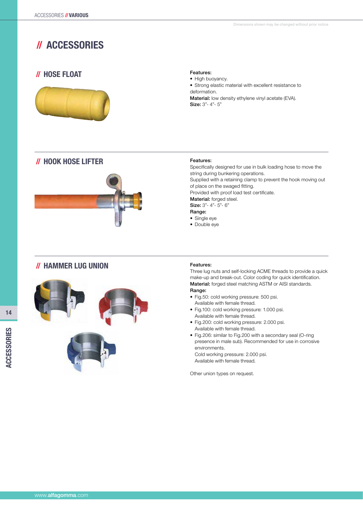# //ACCESSORIES

# //HOSE FLOAT



## Features:

• High buoyancy.

• Strong elastic material with excellent resistance to deformation.

Material: low density ethylene vinyl acetate (EVA). Size: 3"- 4"- 5"





#### Features:

Specifically designed for use in bulk loading hose to move the string during bunkering operations. Supplied with a retaining clamp to prevent the hook moving out of place on the swaged fitting. Provided with proof load test certificate. Material: forged steel. Size: 3"- 4"- 5"- 6" Range:

- Single eye
- Double eve

## //HAMMER LUG UNION





#### Features:

Three lug nuts and self-locking ACME threads to provide a quick make-up and break-out. Color coding for quick identification. Material: forged steel matching ASTM or AISI standards.

#### Range:

- Fig.50: cold working pressure: 500 psi. Available with female thread.
- Fig.100: cold working pressure: 1.000 psi. Available with female thread.
- Fig.200: cold working pressure: 2.000 psi. Available with female thread.
- Fig.206: similar to Fig.200 with a secondary seal (O-ring presence in male sub). Recommended for use in corrosive environments. Cold working pressure: 2.000 psi.

Available with female thread.

Other union types on request.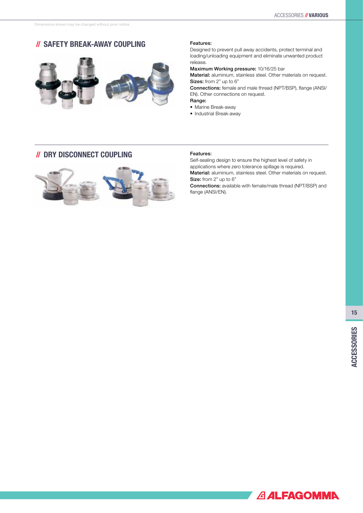# //SAFETY BREAK-AWAY COUPLING



#### Features:

Designed to prevent pull away accidents, protect terminal and loading/unloading equipment and eliminate unwanted product release.

Maximum Working pressure: 10/16/25 bar

Material: aluminium, stainless steel. Other materials on request. Sizes: from 2" up to 6"

Connections: female and male thread (NPT/BSP), flange (ANSI/ EN). Other connections on request.

Range:

- Marine Break-away
- Industrial Break-away

## //DRY DISCONNECT COUPLING



#### Features:

Self-sealing design to ensure the highest level of safety in applications where zero tolerance spillage is required. Material: aluminium, stainless steel. Other materials on request. Size: from 2" up to 6"

Connections: available with female/male thread (NPT/BSP) and flange (ANSI/EN).